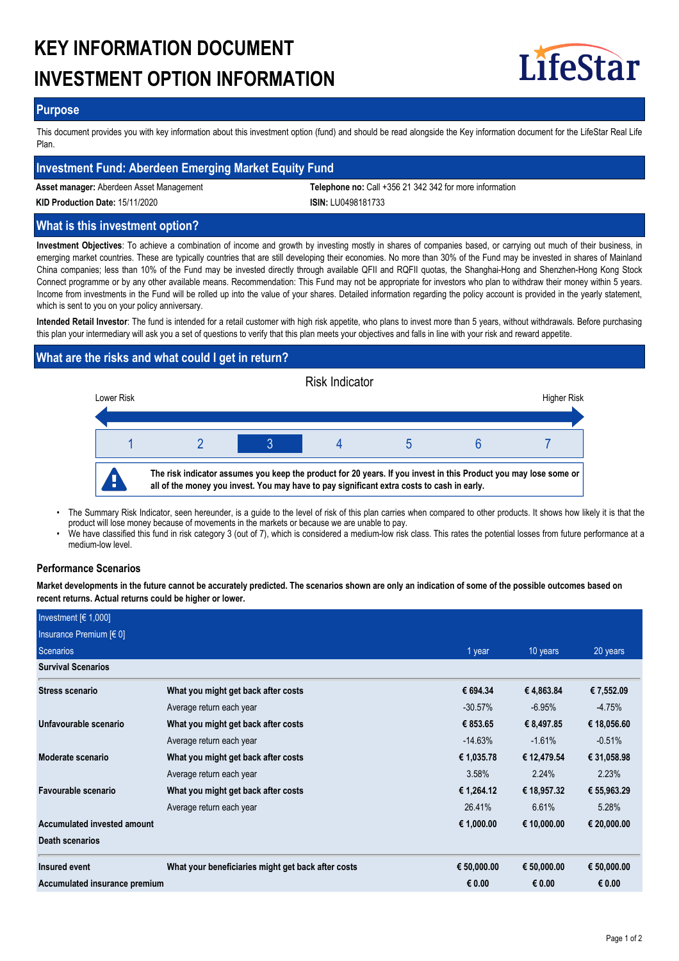# **KEY INFORMATION DOCUMENT INVESTMENT OPTION INFORMATION**



### **Purpose**

This document provides you with key information about this investment option (fund) and should be read alongside the Key information document for the LifeStar Real Life Plan.

# **Investment Fund: Aberdeen Emerging Market Equity Fund**

**Asset manager:** Aberdeen Asset Management **Telephone no:** Call +356 21 342 342 for more information

**KID Production Date:** 15/11/2020 **ISIN:** LU0498181733

# **What is this investment option?**

**Investment Objectives**: To achieve a combination of income and growth by investing mostly in shares of companies based, or carrying out much of their business, in emerging market countries. These are typically countries that are still developing their economies. No more than 30% of the Fund may be invested in shares of Mainland China companies; less than 10% of the Fund may be invested directly through available QFII and RQFII quotas, the Shanghai-Hong and Shenzhen-Hong Kong Stock Connect programme or by any other available means. Recommendation: This Fund may not be appropriate for investors who plan to withdraw their money within 5 years. Income from investments in the Fund will be rolled up into the value of your shares. Detailed information regarding the policy account is provided in the yearly statement, which is sent to you on your policy anniversary.

**Intended Retail Investor**: The fund is intended for a retail customer with high risk appetite, who plans to invest more than 5 years, without withdrawals. Before purchasing this plan your intermediary will ask you a set of questions to verify that this plan meets your objectives and falls in line with your risk and reward appetite.

# **What are the risks and what could I get in return?**



- The Summary Risk Indicator, seen hereunder, is a guide to the level of risk of this plan carries when compared to other products. It shows how likely it is that the product will lose money because of movements in the markets or because we are unable to pay. •
- We have classified this fund in risk category 3 (out of 7), which is considered a medium-low risk class. This rates the potential losses from future performance at a medium-low level. •

### **Performance Scenarios**

**Market developments in the future cannot be accurately predicted. The scenarios shown are only an indication of some of the possible outcomes based on recent returns. Actual returns could be higher or lower.**

| Investment $[6 1,000]$        |                                                    |             |             |             |
|-------------------------------|----------------------------------------------------|-------------|-------------|-------------|
| Insurance Premium [€ 0]       |                                                    |             |             |             |
| Scenarios                     |                                                    | 1 year      | 10 years    | 20 years    |
| <b>Survival Scenarios</b>     |                                                    |             |             |             |
| <b>Stress scenario</b>        | What you might get back after costs                | € 694.34    | €4,863.84   | € 7,552.09  |
|                               | Average return each year                           | $-30.57\%$  | $-6.95%$    | $-4.75%$    |
| Unfavourable scenario         | What you might get back after costs                | € 853.65    | € 8,497.85  | € 18,056.60 |
|                               | Average return each year                           | $-14.63\%$  | $-1.61%$    | $-0.51%$    |
| Moderate scenario             | What you might get back after costs                | € 1,035.78  | € 12,479.54 | € 31,058.98 |
|                               | Average return each year                           | 3.58%       | 2.24%       | 2.23%       |
| Favourable scenario           | What you might get back after costs                | € 1,264.12  | € 18,957.32 | € 55,963.29 |
|                               | Average return each year                           | 26.41%      | 6.61%       | 5.28%       |
| Accumulated invested amount   |                                                    | € 1,000.00  | € 10,000.00 | € 20,000.00 |
| <b>Death scenarios</b>        |                                                    |             |             |             |
| Insured event                 | What your beneficiaries might get back after costs | € 50,000.00 | € 50,000.00 | € 50,000.00 |
| Accumulated insurance premium |                                                    | € 0.00      | € 0.00      | € 0.00      |